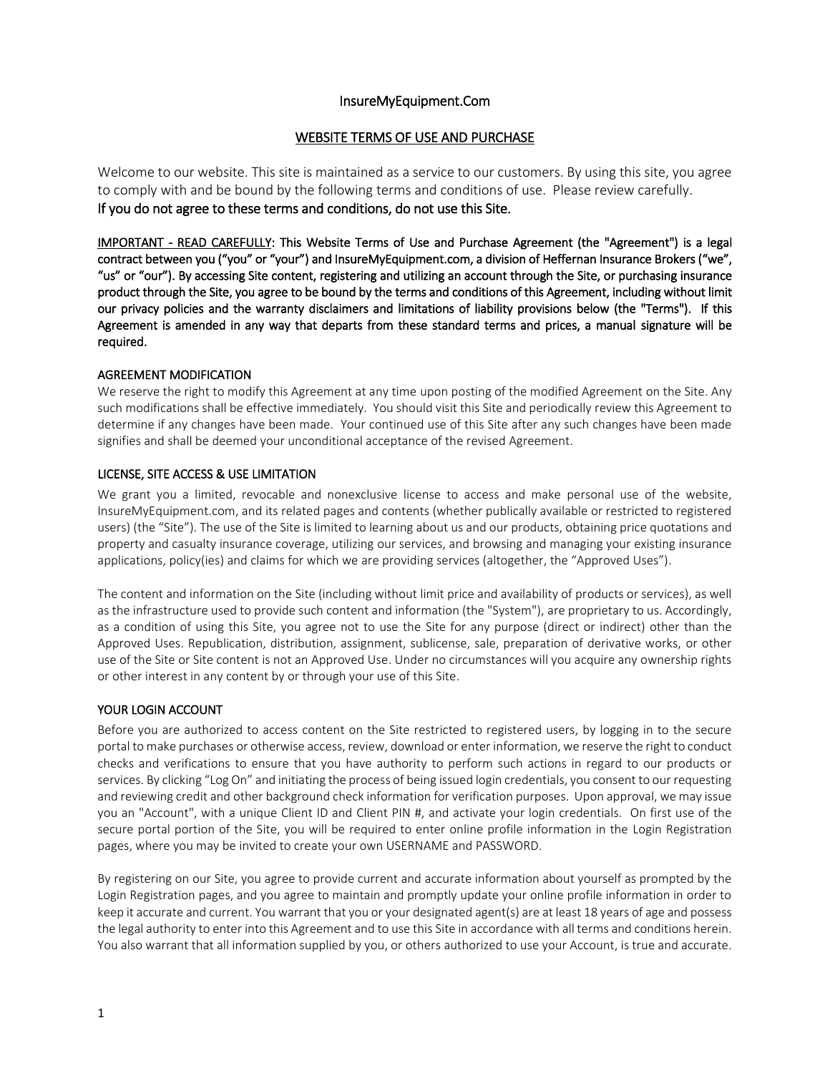# InsureMyEquipment.Com

# WEBSITE TERMS OF USE AND PURCHASE

Welcome to our website. This site is maintained as a service to our customers. By using this site, you agree to comply with and be bound by the following terms and conditions of use. Please review carefully. If you do not agree to these terms and conditions, do not use this Site.

IMPORTANT - READ CAREFULLY: This Website Terms of Use and Purchase Agreement (the "Agreement") is a legal contract between you ("you" or "your") and InsureMyEquipment.com, a division of Heffernan Insurance Brokers ("we", "us" or "our"). By accessing Site content, registering and utilizing an account through the Site, or purchasing insurance product through the Site, you agree to be bound by the terms and conditions of this Agreement, including without limit our privacy policies and the warranty disclaimers and limitations of liability provisions below (the "Terms"). If this Agreement is amended in any way that departs from these standard terms and prices, a manual signature will be required.

# AGREEMENT MODIFICATION

We reserve the right to modify this Agreement at any time upon posting of the modified Agreement on the Site. Any such modifications shall be effective immediately. You should visit this Site and periodically review this Agreement to determine if any changes have been made. Your continued use of this Site after any such changes have been made signifies and shall be deemed your unconditional acceptance of the revised Agreement.

# LICENSE, SITE ACCESS & USE LIMITATION

We grant you a limited, revocable and nonexclusive license to access and make personal use of the website, InsureMyEquipment.com, and its related pages and contents (whether publically available or restricted to registered users) (the "Site"). The use of the Site is limited to learning about us and our products, obtaining price quotations and property and casualty insurance coverage, utilizing our services, and browsing and managing your existing insurance applications, policy(ies) and claims for which we are providing services (altogether, the "Approved Uses").

The content and information on the Site (including without limit price and availability of products or services), as well as the infrastructure used to provide such content and information (the "System"), are proprietary to us. Accordingly, as a condition of using this Site, you agree not to use the Site for any purpose (direct or indirect) other than the Approved Uses. Republication, distribution, assignment, sublicense, sale, preparation of derivative works, or other use of the Site or Site content is not an Approved Use. Under no circumstances will you acquire any ownership rights or other interest in any content by or through your use of this Site.

# YOUR LOGIN ACCOUNT

Before you are authorized to access content on the Site restricted to registered users, by logging in to the secure portal to make purchases or otherwise access, review, download or enter information, we reserve the right to conduct checks and verifications to ensure that you have authority to perform such actions in regard to our products or services. By clicking "Log On" and initiating the process of being issued login credentials, you consent to our requesting and reviewing credit and other background check information for verification purposes. Upon approval, we may issue you an "Account", with a unique Client ID and Client PIN #, and activate your login credentials. On first use of the secure portal portion of the Site, you will be required to enter online profile information in the Login Registration pages, where you may be invited to create your own USERNAME and PASSWORD.

By registering on our Site, you agree to provide current and accurate information about yourself as prompted by the Login Registration pages, and you agree to maintain and promptly update your online profile information in order to keep it accurate and current. You warrant that you or your designated agent(s) are at least 18 years of age and possess the legal authority to enter into this Agreement and to use this Site in accordance with all terms and conditions herein. You also warrant that all information supplied by you, or others authorized to use your Account, is true and accurate.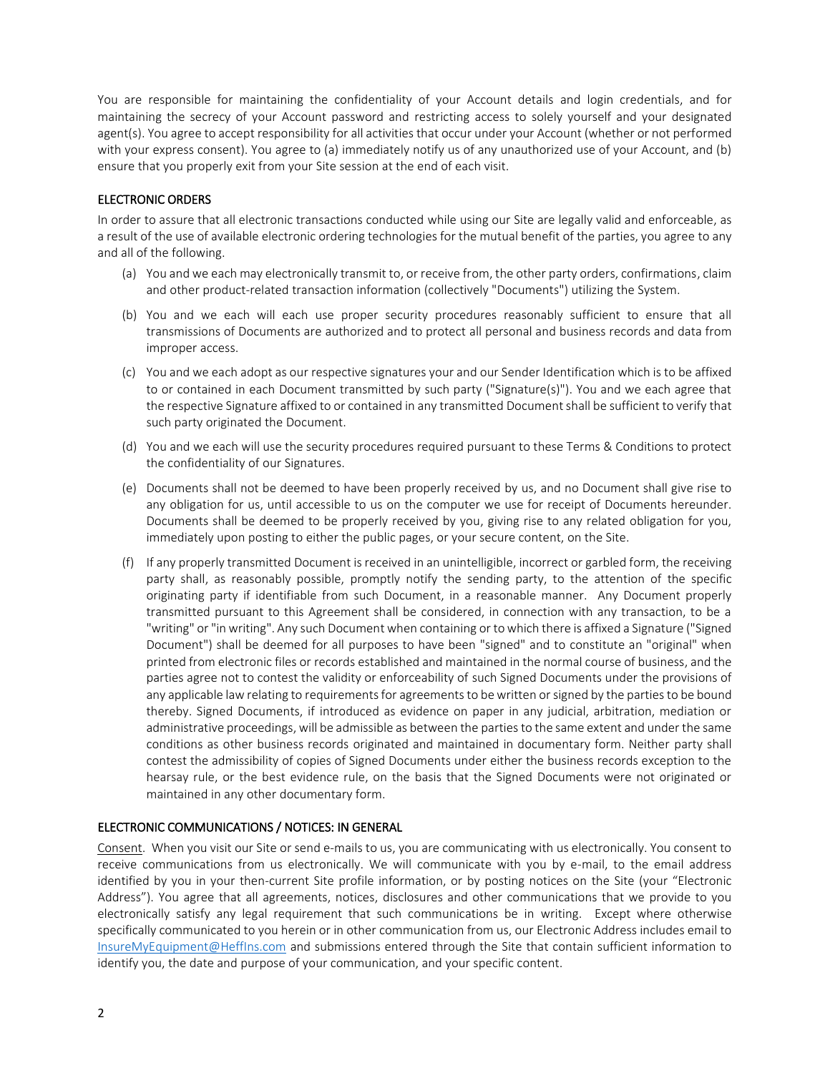You are responsible for maintaining the confidentiality of your Account details and login credentials, and for maintaining the secrecy of your Account password and restricting access to solely yourself and your designated agent(s). You agree to accept responsibility for all activities that occur under your Account (whether or not performed with your express consent). You agree to (a) immediately notify us of any unauthorized use of your Account, and (b) ensure that you properly exit from your Site session at the end of each visit.

# ELECTRONIC ORDERS

In order to assure that all electronic transactions conducted while using our Site are legally valid and enforceable, as a result of the use of available electronic ordering technologies for the mutual benefit of the parties, you agree to any and all of the following.

- (a) You and we each may electronically transmit to, or receive from, the other party orders, confirmations, claim and other product-related transaction information (collectively "Documents") utilizing the System.
- (b) You and we each will each use proper security procedures reasonably sufficient to ensure that all transmissions of Documents are authorized and to protect all personal and business records and data from improper access.
- (c) You and we each adopt as our respective signatures your and our Sender Identification which is to be affixed to or contained in each Document transmitted by such party ("Signature(s)"). You and we each agree that the respective Signature affixed to or contained in any transmitted Document shall be sufficient to verify that such party originated the Document.
- (d) You and we each will use the security procedures required pursuant to these Terms & Conditions to protect the confidentiality of our Signatures.
- (e) Documents shall not be deemed to have been properly received by us, and no Document shall give rise to any obligation for us, until accessible to us on the computer we use for receipt of Documents hereunder. Documents shall be deemed to be properly received by you, giving rise to any related obligation for you, immediately upon posting to either the public pages, or your secure content, on the Site.
- (f) If any properly transmitted Document is received in an unintelligible, incorrect or garbled form, the receiving party shall, as reasonably possible, promptly notify the sending party, to the attention of the specific originating party if identifiable from such Document, in a reasonable manner. Any Document properly transmitted pursuant to this Agreement shall be considered, in connection with any transaction, to be a "writing" or "in writing". Any such Document when containing or to which there is affixed a Signature ("Signed Document") shall be deemed for all purposes to have been "signed" and to constitute an "original" when printed from electronic files or records established and maintained in the normal course of business, and the parties agree not to contest the validity or enforceability of such Signed Documents under the provisions of any applicable law relating to requirements for agreements to be written or signed by the parties to be bound thereby. Signed Documents, if introduced as evidence on paper in any judicial, arbitration, mediation or administrative proceedings, will be admissible as between the parties to the same extent and under the same conditions as other business records originated and maintained in documentary form. Neither party shall contest the admissibility of copies of Signed Documents under either the business records exception to the hearsay rule, or the best evidence rule, on the basis that the Signed Documents were not originated or maintained in any other documentary form.

# ELECTRONIC COMMUNICATIONS / NOTICES: IN GENERAL

Consent. When you visit our Site or send e-mails to us, you are communicating with us electronically. You consent to receive communications from us electronically. We will communicate with you by e-mail, to the email address identified by you in your then-current Site profile information, or by posting notices on the Site (your "Electronic Address"). You agree that all agreements, notices, disclosures and other communications that we provide to you electronically satisfy any legal requirement that such communications be in writing. Except where otherwise specifically communicated to you herein or in other communication from us, our Electronic Address includes email to [InsureMyEquipment@HeffIns.com](mailto:InsureMyEquipment@HeffIns.com) and submissions entered through the Site that contain sufficient information to identify you, the date and purpose of your communication, and your specific content.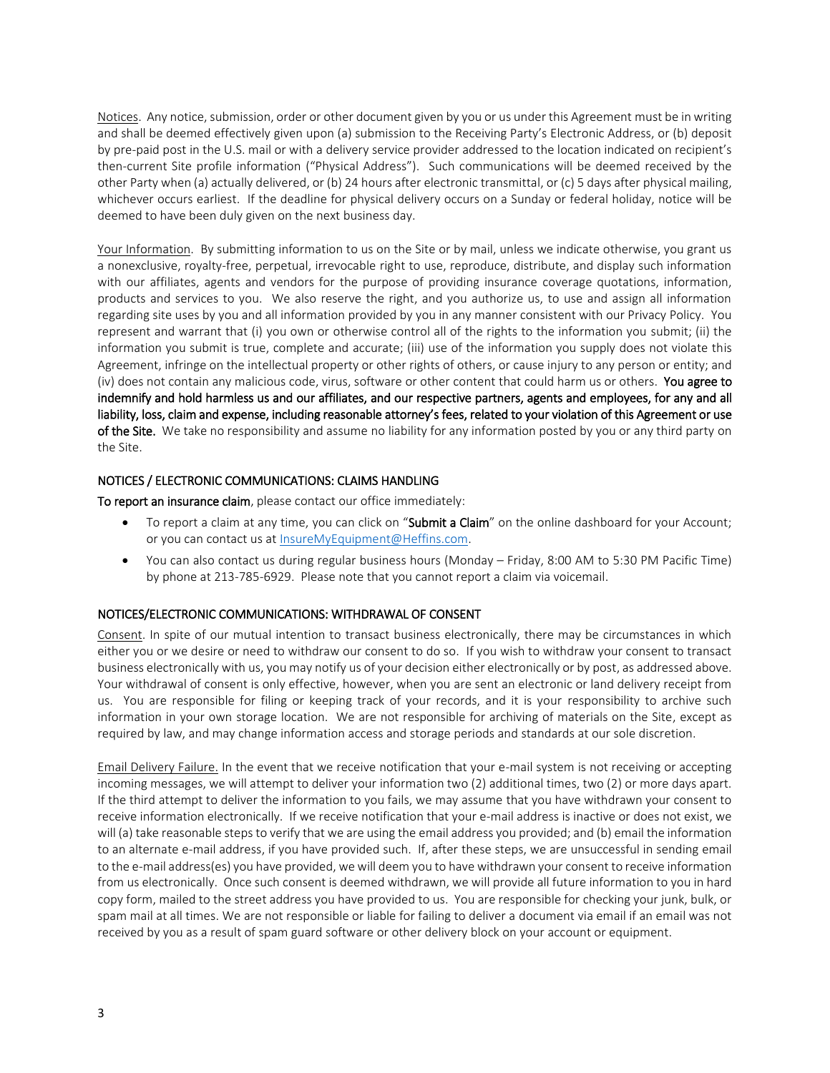Notices. Any notice, submission, order or other document given by you or us under this Agreement must be in writing and shall be deemed effectively given upon (a) submission to the Receiving Party's Electronic Address, or (b) deposit by pre-paid post in the U.S. mail or with a delivery service provider addressed to the location indicated on recipient's then-current Site profile information ("Physical Address"). Such communications will be deemed received by the other Party when (a) actually delivered, or (b) 24 hours after electronic transmittal, or (c) 5 days after physical mailing, whichever occurs earliest. If the deadline for physical delivery occurs on a Sunday or federal holiday, notice will be deemed to have been duly given on the next business day.

Your Information. By submitting information to us on the Site or by mail, unless we indicate otherwise, you grant us a nonexclusive, royalty-free, perpetual, irrevocable right to use, reproduce, distribute, and display such information with our affiliates, agents and vendors for the purpose of providing insurance coverage quotations, information, products and services to you. We also reserve the right, and you authorize us, to use and assign all information regarding site uses by you and all information provided by you in any manner consistent with our Privacy Policy. You represent and warrant that (i) you own or otherwise control all of the rights to the information you submit; (ii) the information you submit is true, complete and accurate; (iii) use of the information you supply does not violate this Agreement, infringe on the intellectual property or other rights of others, or cause injury to any person or entity; and (iv) does not contain any malicious code, virus, software or other content that could harm us or others. You agree to indemnify and hold harmless us and our affiliates, and our respective partners, agents and employees, for any and all liability, loss, claim and expense, including reasonable attorney's fees, related to your violation of this Agreement or use of the Site. We take no responsibility and assume no liability for any information posted by you or any third party on the Site.

# NOTICES / ELECTRONIC COMMUNICATIONS: CLAIMS HANDLING

To report an insurance claim, please contact our office immediately:

- To report a claim at any time, you can click on "Submit a Claim" on the online dashboard for your Account; or you can contact us a[t InsureMyEquipment@Heffins.com.](file://///hgprofile.hg/home/hibwc/sheryll/SL%20-%20P%20Drive%20Materials/!%20HIB%20PROJECTS/Misc%20AGMTS/InsureMyEquipment.com/InsureMyEquipment@Heffins.com)
- You can also contact us during regular business hours (Monday Friday, 8:00 AM to 5:30 PM Pacific Time) by phone at 213-785-6929. Please note that you cannot report a claim via voicemail.

# NOTICES/ELECTRONIC COMMUNICATIONS: WITHDRAWAL OF CONSENT

Consent. In spite of our mutual intention to transact business electronically, there may be circumstances in which either you or we desire or need to withdraw our consent to do so. If you wish to withdraw your consent to transact business electronically with us, you may notify us of your decision either electronically or by post, as addressed above. Your withdrawal of consent is only effective, however, when you are sent an electronic or land delivery receipt from us. You are responsible for filing or keeping track of your records, and it is your responsibility to archive such information in your own storage location. We are not responsible for archiving of materials on the Site, except as required by law, and may change information access and storage periods and standards at our sole discretion.

Email Delivery Failure. In the event that we receive notification that your e-mail system is not receiving or accepting incoming messages, we will attempt to deliver your information two (2) additional times, two (2) or more days apart. If the third attempt to deliver the information to you fails, we may assume that you have withdrawn your consent to receive information electronically. If we receive notification that your e-mail address is inactive or does not exist, we will (a) take reasonable steps to verify that we are using the email address you provided; and (b) email the information to an alternate e-mail address, if you have provided such. If, after these steps, we are unsuccessful in sending email to the e-mail address(es) you have provided, we will deem you to have withdrawn your consent to receive information from us electronically. Once such consent is deemed withdrawn, we will provide all future information to you in hard copy form, mailed to the street address you have provided to us. You are responsible for checking your junk, bulk, or spam mail at all times. We are not responsible or liable for failing to deliver a document via email if an email was not received by you as a result of spam guard software or other delivery block on your account or equipment.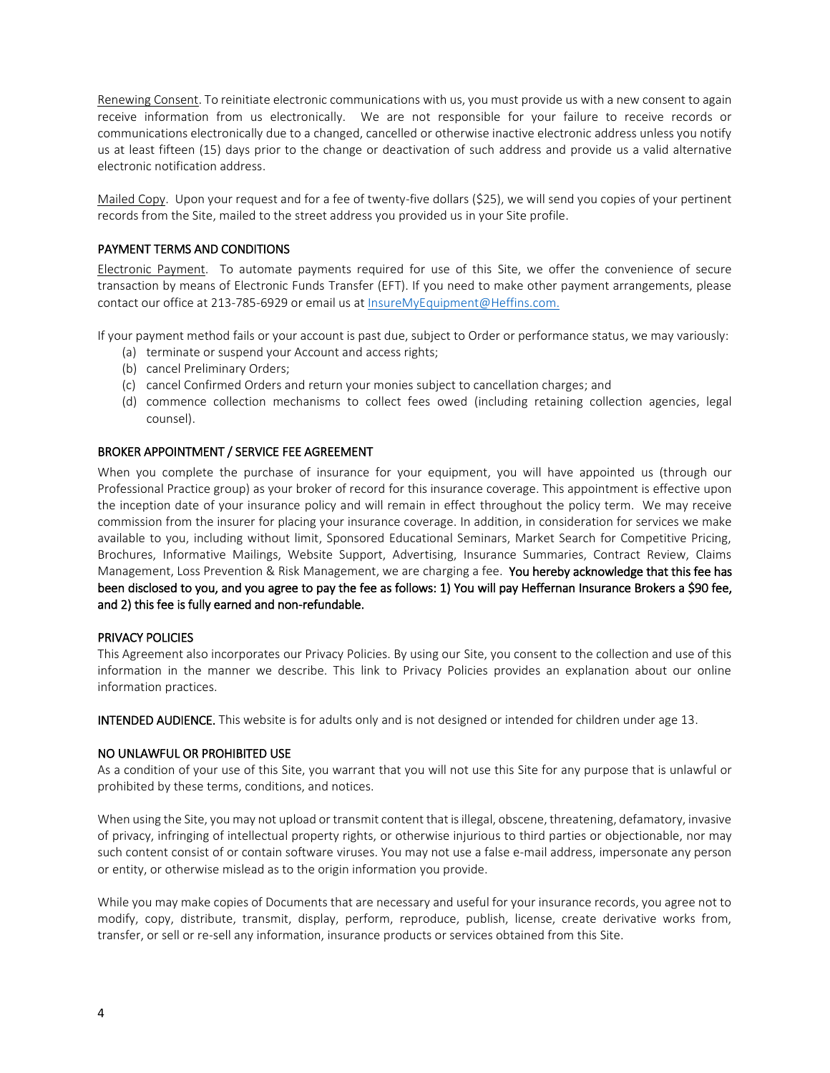Renewing Consent. To reinitiate electronic communications with us, you must provide us with a new consent to again receive information from us electronically. We are not responsible for your failure to receive records or communications electronically due to a changed, cancelled or otherwise inactive electronic address unless you notify us at least fifteen (15) days prior to the change or deactivation of such address and provide us a valid alternative electronic notification address.

Mailed Copy. Upon your request and for a fee of twenty-five dollars (\$25), we will send you copies of your pertinent records from the Site, mailed to the street address you provided us in your Site profile.

# PAYMENT TERMS AND CONDITIONS

Electronic Payment. To automate payments required for use of this Site, we offer the convenience of secure transaction by means of Electronic Funds Transfer (EFT). If you need to make other payment arrangements, please contact our office at 213-785-6929 or email us at InsureMyEquipment@Heffins.com.

If your payment method fails or your account is past due, subject to Order or performance status, we may variously:

- (a) terminate or suspend your Account and access rights;
- (b) cancel Preliminary Orders;
- (c) cancel Confirmed Orders and return your monies subject to cancellation charges; and
- (d) commence collection mechanisms to collect fees owed (including retaining collection agencies, legal counsel).

## BROKER APPOINTMENT / SERVICE FEE AGREEMENT

When you complete the purchase of insurance for your equipment, you will have appointed us (through our Professional Practice group) as your broker of record for this insurance coverage. This appointment is effective upon the inception date of your insurance policy and will remain in effect throughout the policy term. We may receive commission from the insurer for placing your insurance coverage. In addition, in consideration for services we make available to you, including without limit, Sponsored Educational Seminars, Market Search for Competitive Pricing, Brochures, Informative Mailings, Website Support, Advertising, Insurance Summaries, Contract Review, Claims Management, Loss Prevention & Risk Management, we are charging a fee. You hereby acknowledge that this fee has been disclosed to you, and you agree to pay the fee as follows: 1) You will pay Heffernan Insurance Brokers a \$90 fee, and 2) this fee is fully earned and non-refundable.

## PRIVACY POLICIES

This Agreement also incorporates our Privacy Policies. By using our Site, you consent to the collection and use of this information in the manner we describe. This link to Privacy Policies provides an explanation about our online information practices.

INTENDED AUDIENCE. This website is for adults only and is not designed or intended for children under age 13.

## NO UNLAWFUL OR PROHIBITED USE

As a condition of your use of this Site, you warrant that you will not use this Site for any purpose that is unlawful or prohibited by these terms, conditions, and notices.

When using the Site, you may not upload or transmit content that is illegal, obscene, threatening, defamatory, invasive of privacy, infringing of intellectual property rights, or otherwise injurious to third parties or objectionable, nor may such content consist of or contain software viruses. You may not use a false e-mail address, impersonate any person or entity, or otherwise mislead as to the origin information you provide.

While you may make copies of Documents that are necessary and useful for your insurance records, you agree not to modify, copy, distribute, transmit, display, perform, reproduce, publish, license, create derivative works from, transfer, or sell or re-sell any information, insurance products or services obtained from this Site.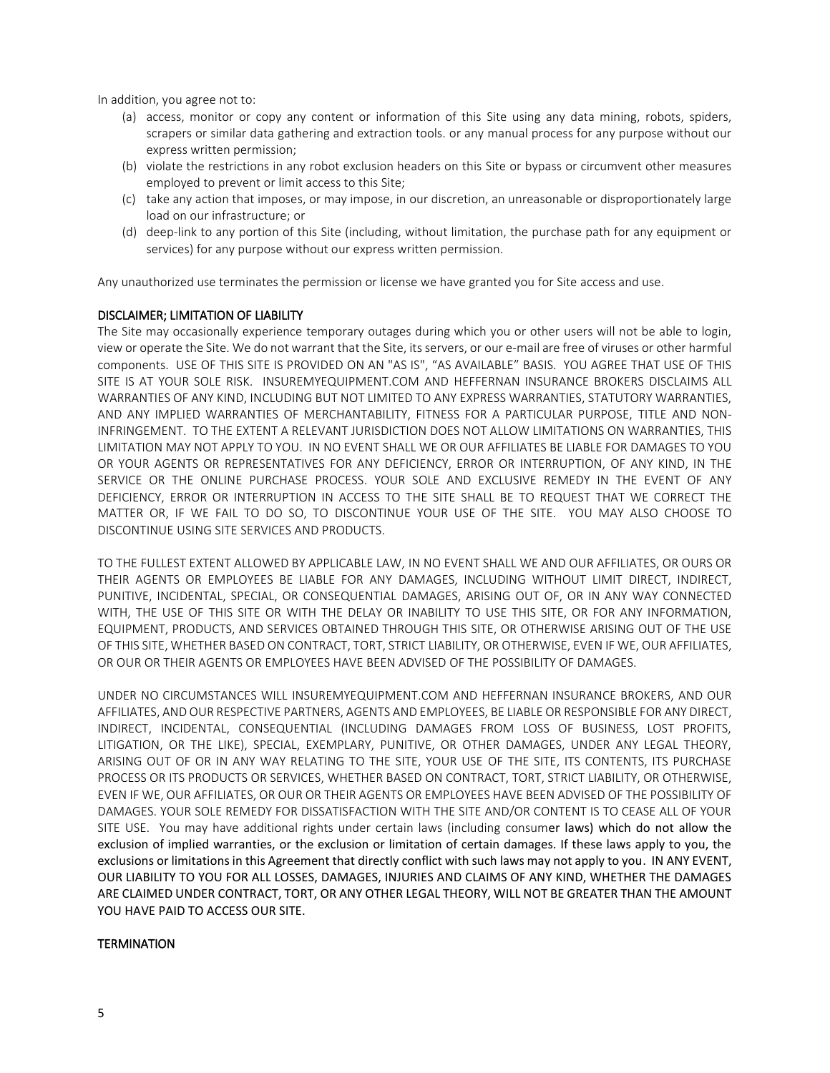In addition, you agree not to:

- (a) access, monitor or copy any content or information of this Site using any data mining, robots, spiders, scrapers or similar data gathering and extraction tools. or any manual process for any purpose without our express written permission;
- (b) violate the restrictions in any robot exclusion headers on this Site or bypass or circumvent other measures employed to prevent or limit access to this Site;
- (c) take any action that imposes, or may impose, in our discretion, an unreasonable or disproportionately large load on our infrastructure; or
- (d) deep-link to any portion of this Site (including, without limitation, the purchase path for any equipment or services) for any purpose without our express written permission.

Any unauthorized use terminates the permission or license we have granted you for Site access and use.

## DISCLAIMER; LIMITATION OF LIABILITY

The Site may occasionally experience temporary outages during which you or other users will not be able to login, view or operate the Site. We do not warrant that the Site, its servers, or our e-mail are free of viruses or other harmful components. USE OF THIS SITE IS PROVIDED ON AN "AS IS", "AS AVAILABLE" BASIS. YOU AGREE THAT USE OF THIS SITE IS AT YOUR SOLE RISK. INSUREMYEQUIPMENT.COM AND HEFFERNAN INSURANCE BROKERS DISCLAIMS ALL WARRANTIES OF ANY KIND, INCLUDING BUT NOT LIMITED TO ANY EXPRESS WARRANTIES, STATUTORY WARRANTIES, AND ANY IMPLIED WARRANTIES OF MERCHANTABILITY, FITNESS FOR A PARTICULAR PURPOSE, TITLE AND NON-INFRINGEMENT. TO THE EXTENT A RELEVANT JURISDICTION DOES NOT ALLOW LIMITATIONS ON WARRANTIES, THIS LIMITATION MAY NOT APPLY TO YOU. IN NO EVENT SHALL WE OR OUR AFFILIATES BE LIABLE FOR DAMAGES TO YOU OR YOUR AGENTS OR REPRESENTATIVES FOR ANY DEFICIENCY, ERROR OR INTERRUPTION, OF ANY KIND, IN THE SERVICE OR THE ONLINE PURCHASE PROCESS. YOUR SOLE AND EXCLUSIVE REMEDY IN THE EVENT OF ANY DEFICIENCY, ERROR OR INTERRUPTION IN ACCESS TO THE SITE SHALL BE TO REQUEST THAT WE CORRECT THE MATTER OR, IF WE FAIL TO DO SO, TO DISCONTINUE YOUR USE OF THE SITE. YOU MAY ALSO CHOOSE TO DISCONTINUE USING SITE SERVICES AND PRODUCTS.

TO THE FULLEST EXTENT ALLOWED BY APPLICABLE LAW, IN NO EVENT SHALL WE AND OUR AFFILIATES, OR OURS OR THEIR AGENTS OR EMPLOYEES BE LIABLE FOR ANY DAMAGES, INCLUDING WITHOUT LIMIT DIRECT, INDIRECT, PUNITIVE, INCIDENTAL, SPECIAL, OR CONSEQUENTIAL DAMAGES, ARISING OUT OF, OR IN ANY WAY CONNECTED WITH, THE USE OF THIS SITE OR WITH THE DELAY OR INABILITY TO USE THIS SITE, OR FOR ANY INFORMATION, EQUIPMENT, PRODUCTS, AND SERVICES OBTAINED THROUGH THIS SITE, OR OTHERWISE ARISING OUT OF THE USE OF THIS SITE, WHETHER BASED ON CONTRACT, TORT, STRICT LIABILITY, OR OTHERWISE, EVEN IF WE, OUR AFFILIATES, OR OUR OR THEIR AGENTS OR EMPLOYEES HAVE BEEN ADVISED OF THE POSSIBILITY OF DAMAGES.

UNDER NO CIRCUMSTANCES WILL INSUREMYEQUIPMENT.COM AND HEFFERNAN INSURANCE BROKERS, AND OUR AFFILIATES, AND OUR RESPECTIVE PARTNERS, AGENTS AND EMPLOYEES, BE LIABLE OR RESPONSIBLE FOR ANY DIRECT, INDIRECT, INCIDENTAL, CONSEQUENTIAL (INCLUDING DAMAGES FROM LOSS OF BUSINESS, LOST PROFITS, LITIGATION, OR THE LIKE), SPECIAL, EXEMPLARY, PUNITIVE, OR OTHER DAMAGES, UNDER ANY LEGAL THEORY, ARISING OUT OF OR IN ANY WAY RELATING TO THE SITE, YOUR USE OF THE SITE, ITS CONTENTS, ITS PURCHASE PROCESS OR ITS PRODUCTS OR SERVICES, WHETHER BASED ON CONTRACT, TORT, STRICT LIABILITY, OR OTHERWISE, EVEN IF WE, OUR AFFILIATES, OR OUR OR THEIR AGENTS OR EMPLOYEES HAVE BEEN ADVISED OF THE POSSIBILITY OF DAMAGES. YOUR SOLE REMEDY FOR DISSATISFACTION WITH THE SITE AND/OR CONTENT IS TO CEASE ALL OF YOUR SITE USE. You may have additional rights under certain laws (including consumer laws) which do not allow the exclusion of implied warranties, or the exclusion or limitation of certain damages. If these laws apply to you, the exclusions or limitations in this Agreement that directly conflict with such laws may not apply to you. IN ANY EVENT, OUR LIABILITY TO YOU FOR ALL LOSSES, DAMAGES, INJURIES AND CLAIMS OF ANY KIND, WHETHER THE DAMAGES ARE CLAIMED UNDER CONTRACT, TORT, OR ANY OTHER LEGAL THEORY, WILL NOT BE GREATER THAN THE AMOUNT YOU HAVE PAID TO ACCESS OUR SITE.

## **TERMINATION**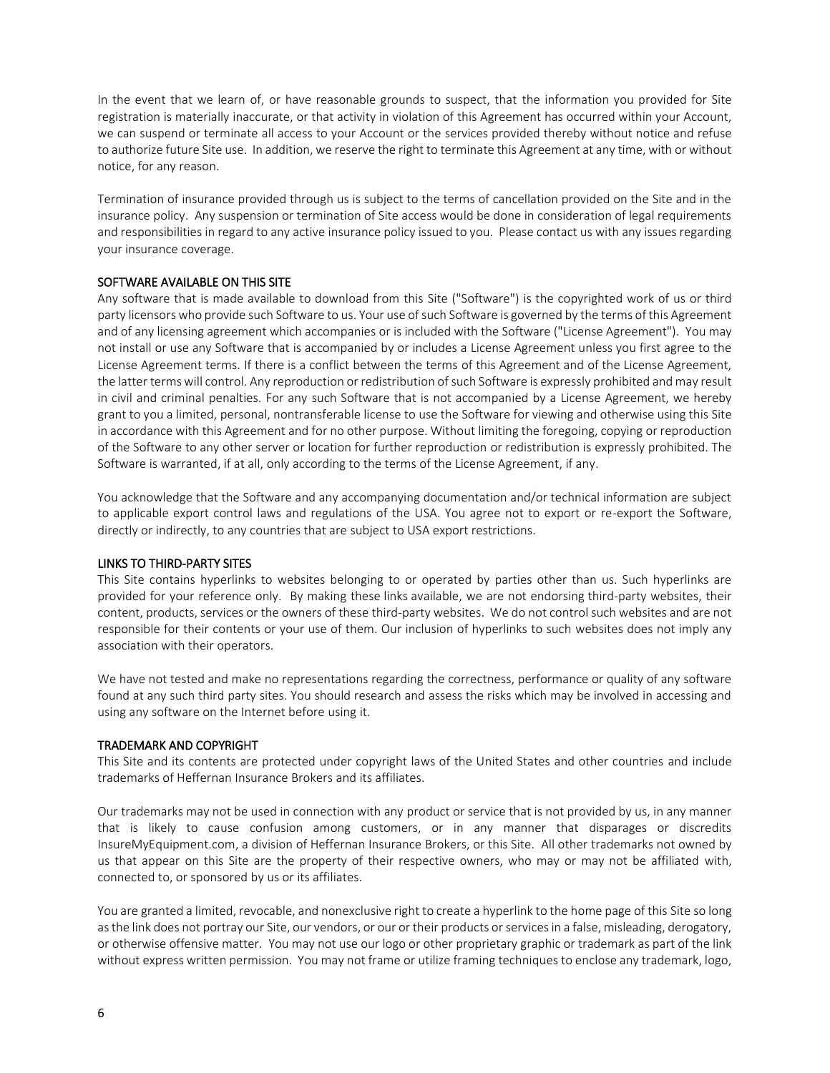In the event that we learn of, or have reasonable grounds to suspect, that the information you provided for Site registration is materially inaccurate, or that activity in violation of this Agreement has occurred within your Account, we can suspend or terminate all access to your Account or the services provided thereby without notice and refuse to authorize future Site use. In addition, we reserve the right to terminate this Agreement at any time, with or without notice, for any reason.

Termination of insurance provided through us is subject to the terms of cancellation provided on the Site and in the insurance policy. Any suspension or termination of Site access would be done in consideration of legal requirements and responsibilities in regard to any active insurance policy issued to you. Please contact us with any issues regarding your insurance coverage.

# SOFTWARE AVAILABLE ON THIS SITE

Any software that is made available to download from this Site ("Software") is the copyrighted work of us or third party licensors who provide such Software to us. Your use of such Software is governed by the terms of this Agreement and of any licensing agreement which accompanies or is included with the Software ("License Agreement"). You may not install or use any Software that is accompanied by or includes a License Agreement unless you first agree to the License Agreement terms. If there is a conflict between the terms of this Agreement and of the License Agreement, the latter terms will control. Any reproduction or redistribution of such Software is expressly prohibited and may result in civil and criminal penalties. For any such Software that is not accompanied by a License Agreement, we hereby grant to you a limited, personal, nontransferable license to use the Software for viewing and otherwise using this Site in accordance with this Agreement and for no other purpose. Without limiting the foregoing, copying or reproduction of the Software to any other server or location for further reproduction or redistribution is expressly prohibited. The Software is warranted, if at all, only according to the terms of the License Agreement, if any.

You acknowledge that the Software and any accompanying documentation and/or technical information are subject to applicable export control laws and regulations of the USA. You agree not to export or re-export the Software, directly or indirectly, to any countries that are subject to USA export restrictions.

## LINKS TO THIRD-PARTY SITES

This Site contains hyperlinks to websites belonging to or operated by parties other than us. Such hyperlinks are provided for your reference only. By making these links available, we are not endorsing third-party websites, their content, products, services or the owners of these third-party websites. We do not control such websites and are not responsible for their contents or your use of them. Our inclusion of hyperlinks to such websites does not imply any association with their operators.

We have not tested and make no representations regarding the correctness, performance or quality of any software found at any such third party sites. You should research and assess the risks which may be involved in accessing and using any software on the Internet before using it.

## TRADEMARK AND COPYRIGHT

This Site and its contents are protected under copyright laws of the United States and other countries and include trademarks of Heffernan Insurance Brokers and its affiliates.

Our trademarks may not be used in connection with any product or service that is not provided by us, in any manner that is likely to cause confusion among customers, or in any manner that disparages or discredits InsureMyEquipment.com, a division of Heffernan Insurance Brokers, or this Site. All other trademarks not owned by us that appear on this Site are the property of their respective owners, who may or may not be affiliated with, connected to, or sponsored by us or its affiliates.

You are granted a limited, revocable, and nonexclusive right to create a hyperlink to the home page of this Site so long as the link does not portray our Site, our vendors, or our or their products or services in a false, misleading, derogatory, or otherwise offensive matter. You may not use our logo or other proprietary graphic or trademark as part of the link without express written permission. You may not frame or utilize framing techniques to enclose any trademark, logo,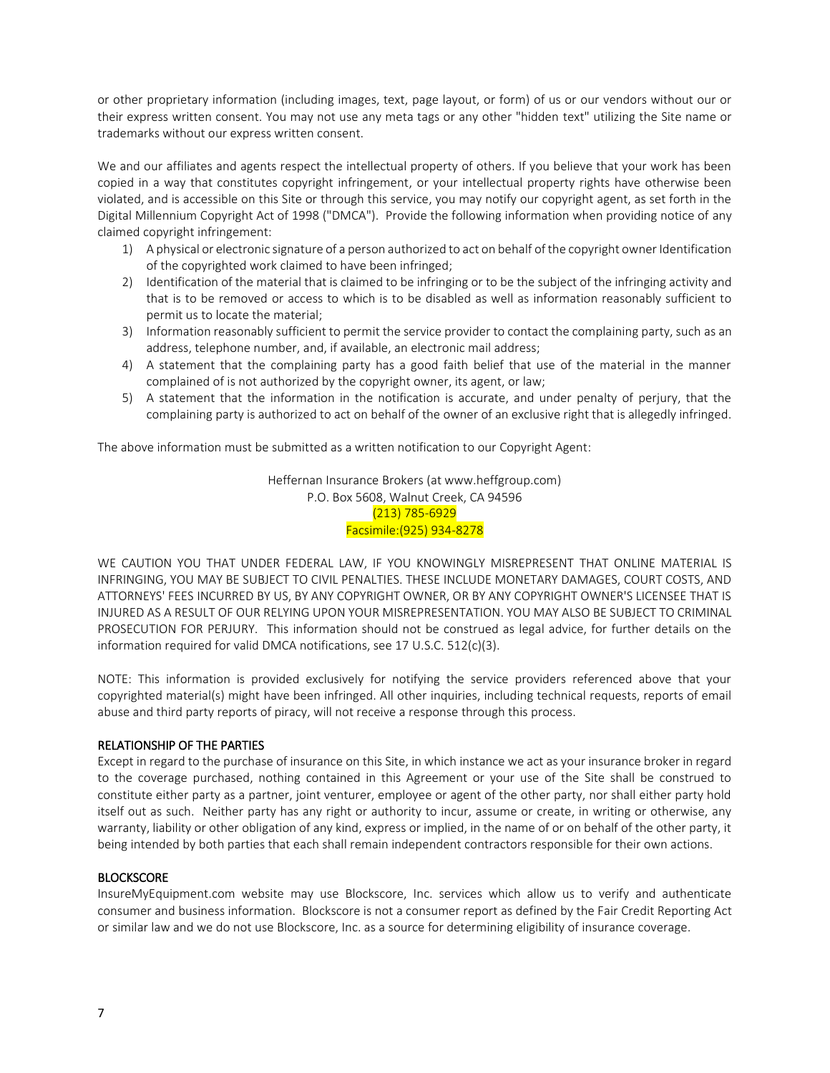or other proprietary information (including images, text, page layout, or form) of us or our vendors without our or their express written consent. You may not use any meta tags or any other "hidden text" utilizing the Site name or trademarks without our express written consent.

We and our affiliates and agents respect the intellectual property of others. If you believe that your work has been copied in a way that constitutes copyright infringement, or your intellectual property rights have otherwise been violated, and is accessible on this Site or through this service, you may notify our copyright agent, as set forth in the Digital Millennium Copyright Act of 1998 ("DMCA"). Provide the following information when providing notice of any claimed copyright infringement:

- 1) A physical or electronic signature of a person authorized to act on behalf of the copyright owner Identification of the copyrighted work claimed to have been infringed;
- 2) Identification of the material that is claimed to be infringing or to be the subject of the infringing activity and that is to be removed or access to which is to be disabled as well as information reasonably sufficient to permit us to locate the material;
- 3) Information reasonably sufficient to permit the service provider to contact the complaining party, such as an address, telephone number, and, if available, an electronic mail address;
- 4) A statement that the complaining party has a good faith belief that use of the material in the manner complained of is not authorized by the copyright owner, its agent, or law;
- 5) A statement that the information in the notification is accurate, and under penalty of perjury, that the complaining party is authorized to act on behalf of the owner of an exclusive right that is allegedly infringed.

The above information must be submitted as a written notification to our Copyright Agent:

Heffernan Insurance Brokers (at www.heffgroup.com) P.O. Box 5608, Walnut Creek, CA 94596 (213) 785-6929 Facsimile:(925) 934-8278

WE CAUTION YOU THAT UNDER FEDERAL LAW, IF YOU KNOWINGLY MISREPRESENT THAT ONLINE MATERIAL IS INFRINGING, YOU MAY BE SUBJECT TO CIVIL PENALTIES. THESE INCLUDE MONETARY DAMAGES, COURT COSTS, AND ATTORNEYS' FEES INCURRED BY US, BY ANY COPYRIGHT OWNER, OR BY ANY COPYRIGHT OWNER'S LICENSEE THAT IS INJURED AS A RESULT OF OUR RELYING UPON YOUR MISREPRESENTATION. YOU MAY ALSO BE SUBJECT TO CRIMINAL PROSECUTION FOR PERJURY. This information should not be construed as legal advice, for further details on the information required for valid DMCA notifications, see 17 U.S.C. 512(c)(3).

NOTE: This information is provided exclusively for notifying the service providers referenced above that your copyrighted material(s) might have been infringed. All other inquiries, including technical requests, reports of email abuse and third party reports of piracy, will not receive a response through this process.

# RELATIONSHIP OF THE PARTIES

Except in regard to the purchase of insurance on this Site, in which instance we act as your insurance broker in regard to the coverage purchased, nothing contained in this Agreement or your use of the Site shall be construed to constitute either party as a partner, joint venturer, employee or agent of the other party, nor shall either party hold itself out as such. Neither party has any right or authority to incur, assume or create, in writing or otherwise, any warranty, liability or other obligation of any kind, express or implied, in the name of or on behalf of the other party, it being intended by both parties that each shall remain independent contractors responsible for their own actions.

# **BLOCKSCORE**

InsureMyEquipment.com website may use Blockscore, Inc. services which allow us to verify and authenticate consumer and business information. Blockscore is not a consumer report as defined by the Fair Credit Reporting Act or similar law and we do not use Blockscore, Inc. as a source for determining eligibility of insurance coverage.